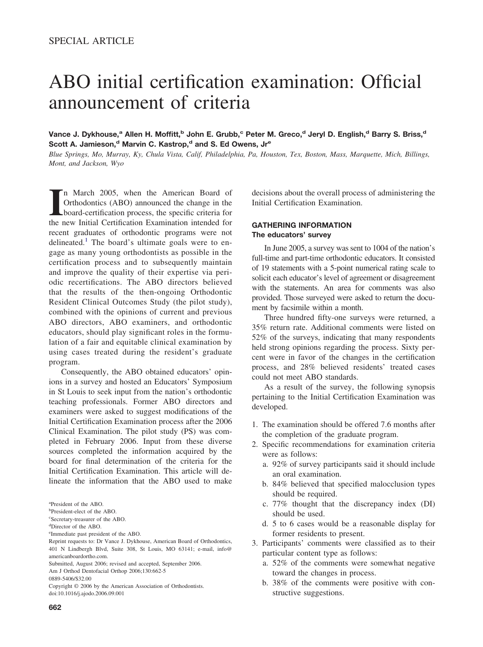# ABO initial certification examination: Official announcement of criteria

Vance J. Dykhouse,<sup>a</sup> Allen H. Moffitt,<sup>b</sup> John E. Grubb,<sup>c</sup> Peter M. Greco,<sup>d</sup> Jeryl D. English,<sup>d</sup> Barry S. Briss,<sup>d</sup> Scott A. Jamieson,<sup>d</sup> Marvin C. Kastrop,<sup>d</sup> and S. Ed Owens, Jr<sup>e</sup>

*Blue Springs, Mo, Murray, Ky, Chula Vista, Calif, Philadelphia, Pa, Houston, Tex, Boston, Mass, Marquette, Mich, Billings, Mont, and Jackson, Wyo*

In March 2005, when the American Board of Orthodontics (ABO) announced the change in the board-certification process, the specific criteria for the new Initial Certification Examination intended for n March 2005, when the American Board of Orthodontics (ABO) announced the change in the board-certification process, the specific criteria for recent graduates of orthodontic programs were not delineated.<sup>[1](#page-3-0)</sup> The board's ultimate goals were to engage as many young orthodontists as possible in the certification process and to subsequently maintain and improve the quality of their expertise via periodic recertifications. The ABO directors believed that the results of the then-ongoing Orthodontic Resident Clinical Outcomes Study (the pilot study), combined with the opinions of current and previous ABO directors, ABO examiners, and orthodontic educators, should play significant roles in the formulation of a fair and equitable clinical examination by using cases treated during the resident's graduate program.

Consequently, the ABO obtained educators' opinions in a survey and hosted an Educators' Symposium in St Louis to seek input from the nation's orthodontic teaching professionals. Former ABO directors and examiners were asked to suggest modifications of the Initial Certification Examination process after the 2006 Clinical Examination. The pilot study (PS) was completed in February 2006. Input from these diverse sources completed the information acquired by the board for final determination of the criteria for the Initial Certification Examination. This article will delineate the information that the ABO used to make

- c Secretary-treasurer of the ABO.
- d Director of the ABO.
- e Immediate past president of the ABO.
- Reprint requests to: Dr Vance J. Dykhouse, American Board of Orthodontics, 401 N Lindbergh Blvd, Suite 308, St Louis, MO 63141; e-mail, info@ americanboardortho.com.

decisions about the overall process of administering the Initial Certification Examination.

## **GATHERING INFORMATION The educators' survey**

In June 2005, a survey was sent to 1004 of the nation's full-time and part-time orthodontic educators. It consisted of 19 statements with a 5-point numerical rating scale to solicit each educator's level of agreement or disagreement with the statements. An area for comments was also provided. Those surveyed were asked to return the document by facsimile within a month.

Three hundred fifty-one surveys were returned, a 35% return rate. Additional comments were listed on 52% of the surveys, indicating that many respondents held strong opinions regarding the process. Sixty percent were in favor of the changes in the certification process, and 28% believed residents' treated cases could not meet ABO standards.

As a result of the survey, the following synopsis pertaining to the Initial Certification Examination was developed.

- 1. The examination should be offered 7.6 months after the completion of the graduate program.
- 2. Specific recommendations for examination criteria were as follows:
	- a. 92% of survey participants said it should include an oral examination.
	- b. 84% believed that specified malocclusion types should be required.
	- c. 77% thought that the discrepancy index (DI) should be used.
	- d. 5 to 6 cases would be a reasonable display for former residents to present.
- 3. Participants' comments were classified as to their particular content type as follows:
	- a. 52% of the comments were somewhat negative toward the changes in process.
	- b. 38% of the comments were positive with constructive suggestions.

a President of the ABO.

b President-elect of the ABO.

Submitted, August 2006; revised and accepted, September 2006.

Am J Orthod Dentofacial Orthop 2006;130:662-5

<sup>0889-5406/\$32.00</sup>

Copyright © 2006 by the American Association of Orthodontists. doi:10.1016/j.ajodo.2006.09.001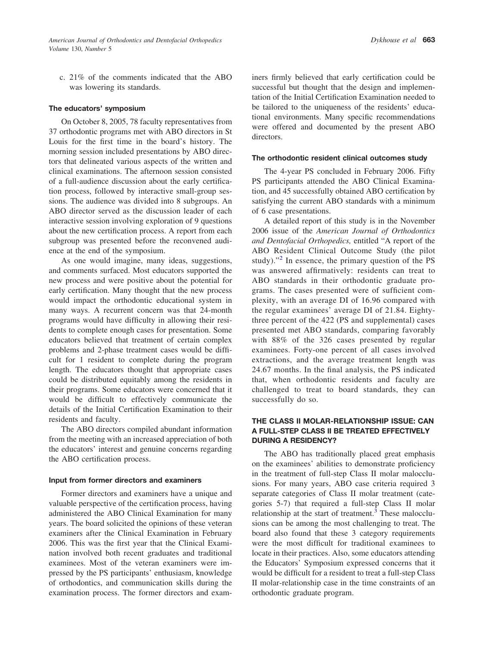c. 21% of the comments indicated that the ABO was lowering its standards.

#### **The educators' symposium**

On October 8, 2005, 78 faculty representatives from 37 orthodontic programs met with ABO directors in St Louis for the first time in the board's history. The morning session included presentations by ABO directors that delineated various aspects of the written and clinical examinations. The afternoon session consisted of a full-audience discussion about the early certification process, followed by interactive small-group sessions. The audience was divided into 8 subgroups. An ABO director served as the discussion leader of each interactive session involving exploration of 9 questions about the new certification process. A report from each subgroup was presented before the reconvened audience at the end of the symposium.

As one would imagine, many ideas, suggestions, and comments surfaced. Most educators supported the new process and were positive about the potential for early certification. Many thought that the new process would impact the orthodontic educational system in many ways. A recurrent concern was that 24-month programs would have difficulty in allowing their residents to complete enough cases for presentation. Some educators believed that treatment of certain complex problems and 2-phase treatment cases would be difficult for 1 resident to complete during the program length. The educators thought that appropriate cases could be distributed equitably among the residents in their programs. Some educators were concerned that it would be difficult to effectively communicate the details of the Initial Certification Examination to their residents and faculty.

The ABO directors compiled abundant information from the meeting with an increased appreciation of both the educators' interest and genuine concerns regarding the ABO certification process.

#### **Input from former directors and examiners**

Former directors and examiners have a unique and valuable perspective of the certification process, having administered the ABO Clinical Examination for many years. The board solicited the opinions of these veteran examiners after the Clinical Examination in February 2006. This was the first year that the Clinical Examination involved both recent graduates and traditional examinees. Most of the veteran examiners were impressed by the PS participants' enthusiasm, knowledge of orthodontics, and communication skills during the examination process. The former directors and examiners firmly believed that early certification could be successful but thought that the design and implementation of the Initial Certification Examination needed to be tailored to the uniqueness of the residents' educational environments. Many specific recommendations were offered and documented by the present ABO directors.

#### **The orthodontic resident clinical outcomes study**

The 4-year PS concluded in February 2006. Fifty PS participants attended the ABO Clinical Examination, and 45 successfully obtained ABO certification by satisfying the current ABO standards with a minimum of 6 case presentations.

A detailed report of this study is in the November 2006 issue of the *American Journal of Orthodontics and Dentofacial Orthopedics,* entitled "A report of the ABO Resident Clinical Outcome Study (the pilot study)."<sup>[2](#page-3-0)</sup> In essence, the primary question of the PS was answered affirmatively: residents can treat to ABO standards in their orthodontic graduate programs. The cases presented were of sufficient complexity, with an average DI of 16.96 compared with the regular examinees' average DI of 21.84. Eightythree percent of the 422 (PS and supplemental) cases presented met ABO standards, comparing favorably with 88% of the 326 cases presented by regular examinees. Forty-one percent of all cases involved extractions, and the average treatment length was 24.67 months. In the final analysis, the PS indicated that, when orthodontic residents and faculty are challenged to treat to board standards, they can successfully do so.

## **THE CLASS II MOLAR-RELATIONSHIP ISSUE: CAN A FULL-STEP CLASS II BE TREATED EFFECTIVELY DURING A RESIDENCY?**

The ABO has traditionally placed great emphasis on the examinees' abilities to demonstrate proficiency in the treatment of full-step Class II molar malocclusions. For many years, ABO case criteria required 3 separate categories of Class II molar treatment (categories 5-7) that required a full-step Class II molar relationship at the start of treatment.<sup>[3](#page-3-0)</sup> These malocclusions can be among the most challenging to treat. The board also found that these 3 category requirements were the most difficult for traditional examinees to locate in their practices. Also, some educators attending the Educators' Symposium expressed concerns that it would be difficult for a resident to treat a full-step Class II molar-relationship case in the time constraints of an orthodontic graduate program.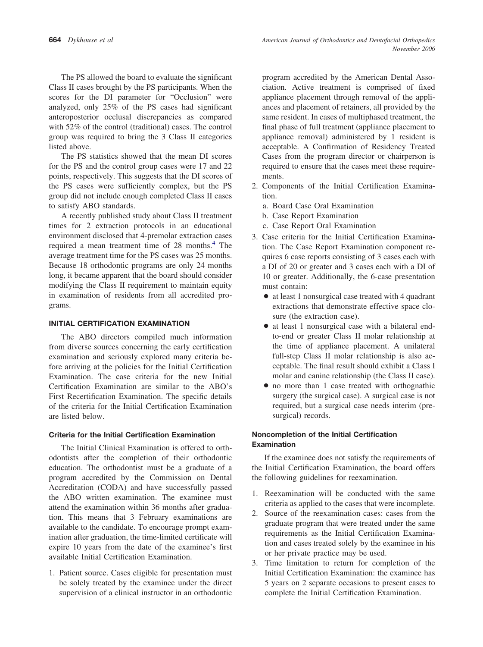The PS allowed the board to evaluate the significant Class II cases brought by the PS participants. When the scores for the DI parameter for "Occlusion" were analyzed, only 25% of the PS cases had significant anteroposterior occlusal discrepancies as compared with 52% of the control (traditional) cases. The control group was required to bring the 3 Class II categories listed above.

The PS statistics showed that the mean DI scores for the PS and the control group cases were 17 and 22 points, respectively. This suggests that the DI scores of the PS cases were sufficiently complex, but the PS group did not include enough completed Class II cases to satisfy ABO standards.

A recently published study about Class II treatment times for 2 extraction protocols in an educational environment disclosed that 4-premolar extraction cases required a mean treatment time of 28 months.<sup>[4](#page-3-0)</sup> The average treatment time for the PS cases was 25 months. Because 18 orthodontic programs are only 24 months long, it became apparent that the board should consider modifying the Class II requirement to maintain equity in examination of residents from all accredited programs.

## **INITIAL CERTIFICATION EXAMINATION**

The ABO directors compiled much information from diverse sources concerning the early certification examination and seriously explored many criteria before arriving at the policies for the Initial Certification Examination. The case criteria for the new Initial Certification Examination are similar to the ABO's First Recertification Examination. The specific details of the criteria for the Initial Certification Examination are listed below.

#### **Criteria for the Initial Certification Examination**

The Initial Clinical Examination is offered to orthodontists after the completion of their orthodontic education. The orthodontist must be a graduate of a program accredited by the Commission on Dental Accreditation (CODA) and have successfully passed the ABO written examination. The examinee must attend the examination within 36 months after graduation. This means that 3 February examinations are available to the candidate. To encourage prompt examination after graduation, the time-limited certificate will expire 10 years from the date of the examinee's first available Initial Certification Examination.

1. Patient source. Cases eligible for presentation must be solely treated by the examinee under the direct supervision of a clinical instructor in an orthodontic

program accredited by the American Dental Association. Active treatment is comprised of fixed appliance placement through removal of the appliances and placement of retainers, all provided by the same resident. In cases of multiphased treatment, the final phase of full treatment (appliance placement to appliance removal) administered by 1 resident is acceptable. A Confirmation of Residency Treated Cases from the program director or chairperson is required to ensure that the cases meet these requirements.

- 2. Components of the Initial Certification Examination.
	- a. Board Case Oral Examination
	- b. Case Report Examination
	- c. Case Report Oral Examination
- 3. Case criteria for the Initial Certification Examination. The Case Report Examination component requires 6 case reports consisting of 3 cases each with a DI of 20 or greater and 3 cases each with a DI of 10 or greater. Additionally, the 6-case presentation must contain:
	- at least 1 nonsurgical case treated with 4 quadrant extractions that demonstrate effective space closure (the extraction case).
	- at least 1 nonsurgical case with a bilateral endto-end or greater Class II molar relationship at the time of appliance placement. A unilateral full-step Class II molar relationship is also acceptable. The final result should exhibit a Class I molar and canine relationship (the Class II case).
	- no more than 1 case treated with orthognathic surgery (the surgical case). A surgical case is not required, but a surgical case needs interim (presurgical) records.

## **Noncompletion of the Initial Certification Examination**

If the examinee does not satisfy the requirements of the Initial Certification Examination, the board offers the following guidelines for reexamination.

- 1. Reexamination will be conducted with the same criteria as applied to the cases that were incomplete.
- 2. Source of the reexamination cases: cases from the graduate program that were treated under the same requirements as the Initial Certification Examination and cases treated solely by the examinee in his or her private practice may be used.
- 3. Time limitation to return for completion of the Initial Certification Examination: the examinee has 5 years on 2 separate occasions to present cases to complete the Initial Certification Examination.